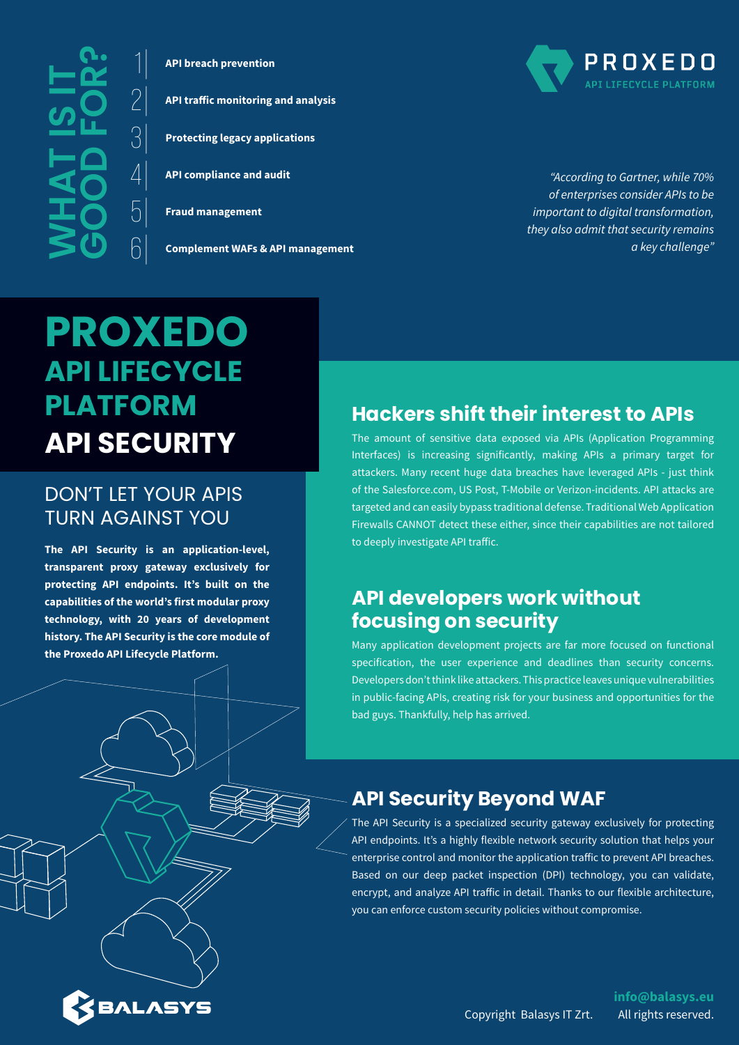**What is it good for?**

1| **API breach prevention**

2| **API traffic monitoring and analysis**

3| **Protecting legacy applications** 

 $\mathcal{A}$  **API compliance and audit** 

5| **Fraud management**

 $\bigcap \bigg|$  Complement WAFs & API management



*"According to Gartner, while 70% of enterprises consider APIs to be important to digital transformation, they also admit that security remains a key challenge"*

# **PROXEDO API LIFECYCLE PLATFORM API SECURITY**

#### DON'T LET YOUR APIS TURN AGAINST YOU

**The API Security is an application-level, transparent proxy gateway exclusively for protecting API endpoints. It's built on the capabilities of the world's first modular proxy technology, with 20 years of development history. The API Security is the core module of the Proxedo API Lifecycle Platform.**

BALASYS

#### **Hackers shift their interest to APIs**

The amount of sensitive data exposed via APIs (Application Programming Interfaces) is increasing significantly, making APIs a primary target for attackers. Many recent huge data breaches have leveraged APIs - just think of the Salesforce.com, US Post, T-Mobile or Verizon-incidents. API attacks are targeted and can easily bypass traditional defense. Traditional Web Application Firewalls CANNOT detect these either, since their capabilities are not tailored to deeply investigate API traffic.

## **API developers work without focusing on security**

Many application development projects are far more focused on functional specification, the user experience and deadlines than security concerns. Developers don't think like attackers.This practice leaves unique vulnerabilities in public-facing APIs, creating risk for your business and opportunities for the bad guys. Thankfully, help has arrived.

## **API Security Beyond WAF**

The API Security is a specialized security gateway exclusively for protecting API endpoints. It's a highly flexible network security solution that helps your enterprise control and monitor the application traffic to prevent API breaches. Based on our deep packet inspection (DPI) technology, you can validate, encrypt, and analyze API traffic in detail. Thanks to our flexible architecture, you can enforce custom security policies without compromise.